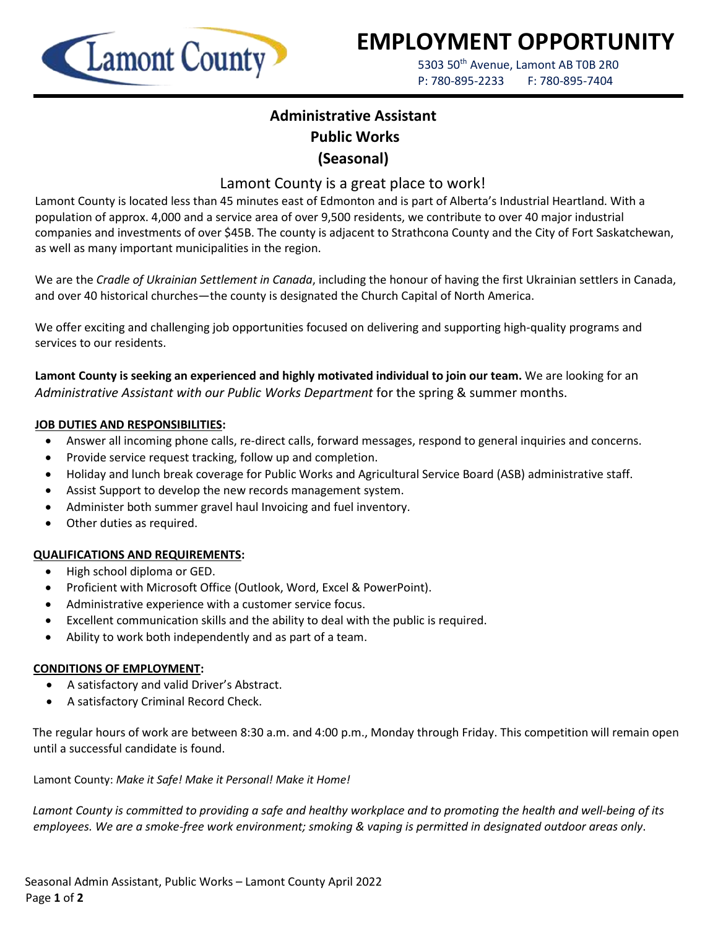

# **EMPLOYMENT OPPORTUNITY**

5303 50<sup>th</sup> Avenue, Lamont AB T0B 2R0 P: 780-895-2233 F: 780-895-7404

## **Administrative Assistant Public Works (Seasonal)**

### Lamont County is a great place to work!

Lamont County is located less than 45 minutes east of Edmonton and is part of Alberta's Industrial Heartland. With a population of approx. 4,000 and a service area of over 9,500 residents, we contribute to over 40 major industrial companies and investments of over \$45B. The county is adjacent to Strathcona County and the City of Fort Saskatchewan, as well as many important municipalities in the region.

We are the *Cradle of Ukrainian Settlement in Canada*, including the honour of having the first Ukrainian settlers in Canada, and over 40 historical churches—the county is designated the Church Capital of North America.

We offer exciting and challenging job opportunities focused on delivering and supporting high-quality programs and services to our residents.

**Lamont County is seeking an experienced and highly motivated individual to join our team.** We are looking for an *Administrative Assistant with our Public Works Department* for the spring & summer months.

#### **JOB DUTIES AND RESPONSIBILITIES:**

- Answer all incoming phone calls, re-direct calls, forward messages, respond to general inquiries and concerns.
- Provide service request tracking, follow up and completion.
- Holiday and lunch break coverage for Public Works and Agricultural Service Board (ASB) administrative staff.
- Assist Support to develop the new records management system.
- Administer both summer gravel haul Invoicing and fuel inventory.
- Other duties as required.

#### **QUALIFICATIONS AND REQUIREMENTS:**

- High school diploma or GED.
- Proficient with Microsoft Office (Outlook, Word, Excel & PowerPoint).
- Administrative experience with a customer service focus.
- Excellent communication skills and the ability to deal with the public is required.
- Ability to work both independently and as part of a team.

#### **CONDITIONS OF EMPLOYMENT:**

- A satisfactory and valid Driver's Abstract.
- A satisfactory Criminal Record Check.

The regular hours of work are between 8:30 a.m. and 4:00 p.m., Monday through Friday. This competition will remain open until a successful candidate is found.

Lamont County: *Make it Safe! Make it Personal! Make it Home!*

*Lamont County is committed to providing a safe and healthy workplace and to promoting the health and well-being of its employees. We are a smoke-free work environment; smoking & vaping is permitted in designated outdoor areas only*.